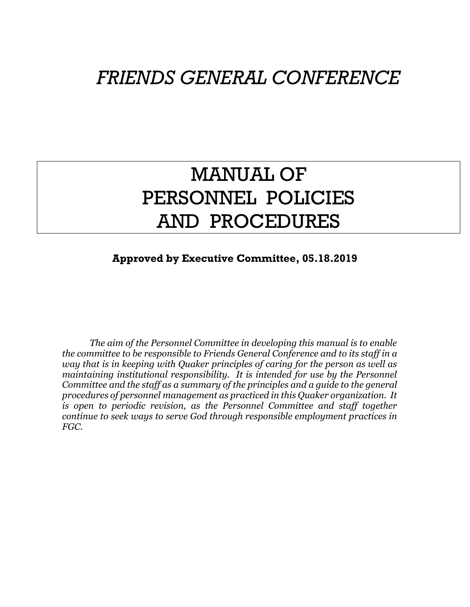# *FRIENDS GENERAL CONFERENCE*

# MANUAL OF PERSONNEL POLICIES AND PROCEDURES

# **Approved by Executive Committee, 05.18.2019**

*The aim of the Personnel Committee in developing this manual is to enable the committee to be responsible to Friends General Conference and to its staff in a way that is in keeping with Quaker principles of caring for the person as well as maintaining institutional responsibility. It is intended for use by the Personnel Committee and the staff as a summary of the principles and a guide to the general procedures of personnel management as practiced in this Quaker organization. It*  is open to periodic revision, as the Personnel Committee and staff together *continue to seek ways to serve God through responsible employment practices in FGC.*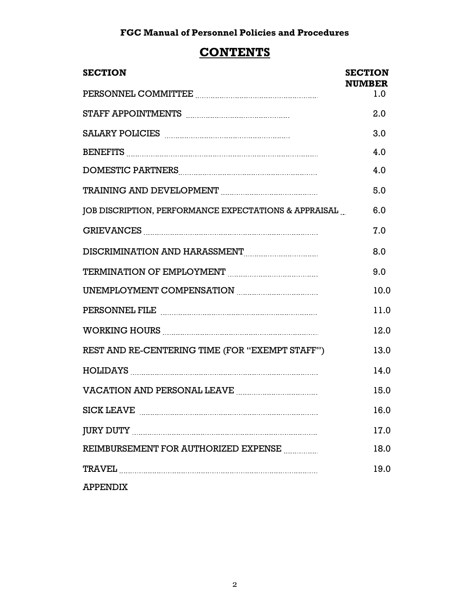# **CONTENTS**

| <b>SECTION</b>                                                                                                                                                                                                                                                                                                                                                                                                                              | <b>SECTION</b><br><b>NUMBER</b> |
|---------------------------------------------------------------------------------------------------------------------------------------------------------------------------------------------------------------------------------------------------------------------------------------------------------------------------------------------------------------------------------------------------------------------------------------------|---------------------------------|
|                                                                                                                                                                                                                                                                                                                                                                                                                                             | 1.0                             |
|                                                                                                                                                                                                                                                                                                                                                                                                                                             | 2.0                             |
|                                                                                                                                                                                                                                                                                                                                                                                                                                             | 3.0                             |
|                                                                                                                                                                                                                                                                                                                                                                                                                                             | 4.0                             |
| DOMESTIC PARTNERS Entertainment and the contract of the contract of the contract of the contract of the contract of the contract of the contract of the contract of the contract of the contract of the contract of the contra                                                                                                                                                                                                              | 4.0                             |
|                                                                                                                                                                                                                                                                                                                                                                                                                                             | 5.0                             |
| JOB DISCRIPTION, PERFORMANCE EXPECTATIONS & APPRAISAL                                                                                                                                                                                                                                                                                                                                                                                       | 6.0                             |
|                                                                                                                                                                                                                                                                                                                                                                                                                                             | 7.0                             |
| DISCRIMINATION AND HARASSMENT MARRIER AND THE RESERVED TO A MILLON AND THE RESERVED TO A MILLON MARK THE RESERVED ON A MILLON MARK AND MALLON MARK THE RESERVED ON A MILLON MARK AND MALLON MARK AND MALLON MARK AND MALLON MA                                                                                                                                                                                                              | 8.0                             |
|                                                                                                                                                                                                                                                                                                                                                                                                                                             | 9.0                             |
| UNEMPLOYMENT COMPENSATION MARKET AND THE MELTICAL SERVICE AND THE MELTICAL SERVICE AND THE MELTICAL SERVICE AN                                                                                                                                                                                                                                                                                                                              | 10.0                            |
|                                                                                                                                                                                                                                                                                                                                                                                                                                             | 11.0                            |
|                                                                                                                                                                                                                                                                                                                                                                                                                                             | 12.0                            |
| REST AND RE-CENTERING TIME (FOR "EXEMPT STAFF")                                                                                                                                                                                                                                                                                                                                                                                             | 13.0                            |
|                                                                                                                                                                                                                                                                                                                                                                                                                                             | 14.0                            |
|                                                                                                                                                                                                                                                                                                                                                                                                                                             | 15.0                            |
| SICK LEAVE MARKE AND ACCORDING TO A SERIES AND THE SERIES AND THE SERIES AND THE SERIES AND THE SERIES AND THE                                                                                                                                                                                                                                                                                                                              | 16.0                            |
|                                                                                                                                                                                                                                                                                                                                                                                                                                             | 17.0                            |
| REIMBURSEMENT FOR AUTHORIZED EXPENSE                                                                                                                                                                                                                                                                                                                                                                                                        | 18.0                            |
| ${\bf TRAVEL} \label{eq:1} \centering \begin{minipage}{0.9\linewidth} \textbf{1} & \textbf{1} & \textbf{1} & \textbf{1} & \textbf{1} & \textbf{1} & \textbf{1} & \textbf{1} & \textbf{1} & \textbf{1} & \textbf{1} & \textbf{1} & \textbf{1} & \textbf{1} & \textbf{1} & \textbf{1} & \textbf{1} & \textbf{1} & \textbf{1} & \textbf{1} & \textbf{1} & \textbf{1} & \textbf{1} & \textbf{1} & \textbf{1} & \textbf{1} & \textbf{1} & \text$ | 19.0                            |
| <b>APPENDIX</b>                                                                                                                                                                                                                                                                                                                                                                                                                             |                                 |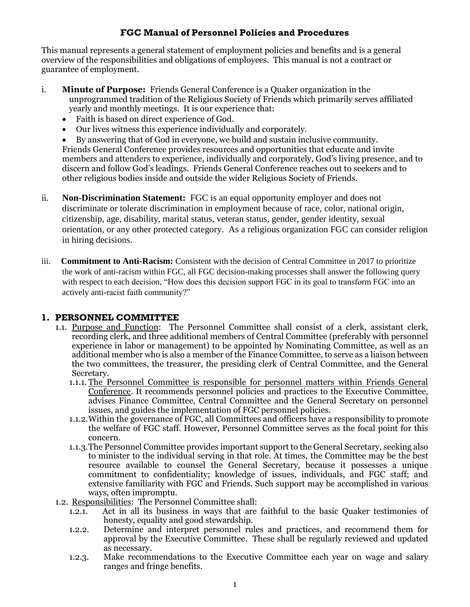This manual represents a general statement of employment policies and benefits and is a general overview of the responsibilities and obligations of employees. This manual is not a contract or guarantee of employment.

- i. **Minute of Purpose:** Friends General Conference is a Quaker organization in the unprogrammed tradition of the Religious Society of Friends which primarily serves affiliated yearly and monthly meetings. It is our experience that:
	- Faith is based on direct experience of God.
	- Our lives witness this experience individually and corporately.
	- By answering that of God in everyone, we build and sustain inclusive community.

Friends General Conference provides resources and opportunities that educate and invite members and attenders to experience, individually and corporately, God's living presence, and to discern and follow God's leadings. Friends General Conference reaches out to seekers and to other religious bodies inside and outside the wider Religious Society of Friends.

- ii. **Non-Discrimination Statement:** FGC is an equal opportunity employer and does not discriminate or tolerate discrimination in employment because of race, color, national origin, citizenship, age, disability, marital status, veteran status, gender, gender identity, sexual orientation, or any other protected category. As a religious organization FGC can consider religion in hiring decisions.
- iii. **Commitment to Anti-Racism:** Consistent with the decision of Central Committee in 2017 to prioritize the work of anti-racism within FGC, all FGC decision-making processes shall answer the following query with respect to each decision, "How does this decision support FGC in its goal to transform FGC into an actively anti-racist faith community?"

#### **1. PERSONNEL COMMITTEE**

- 1.1. Purpose and Function: The Personnel Committee shall consist of a clerk, assistant clerk, recording clerk, and three additional members of Central Committee (preferably with personnel experience in labor or management) to be appointed by Nominating Committee, as well as an additional member who is also a member of the Finance Committee, to serve as a liaison between the two committees, the treasurer, the presiding clerk of Central Committee, and the General Secretary.
	- 1.1.1. The Personnel Committee is responsible for personnel matters within Friends General Conference. It recommends personnel policies and practices to the Executive Committee, advises Finance Committee, Central Committee and the General Secretary on personnel issues, and guides the implementation of FGC personnel policies.
	- 1.1.2.Within the governance of FGC, all Committees and officers have a responsibility to promote the welfare of FGC staff. However, Personnel Committee serves as the focal point for this concern.
	- 1.1.3.The Personnel Committee provides important support to the General Secretary, seeking also to minister to the individual serving in that role. At times, the Committee may be the best resource available to counsel the General Secretary, because it possesses a unique commitment to confidentiality; knowledge of issues, individuals, and FGC staff; and extensive familiarity with FGC and Friends. Such support may be accomplished in various ways, often impromptu.
- 1.2. Responsibilities: The Personnel Committee shall:
	- 1.2.1. Act in all its business in ways that are faithful to the basic Quaker testimonies of honesty, equality and good stewardship.
	- 1.2.2. Determine and interpret personnel rules and practices, and recommend them for approval by the Executive Committee. These shall be regularly reviewed and updated as necessary.
	- 1.2.3. Make recommendations to the Executive Committee each year on wage and salary ranges and fringe benefits.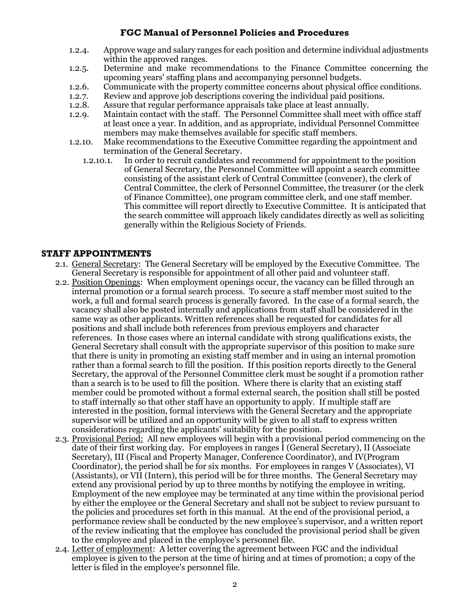- 1.2.4. Approve wage and salary ranges for each position and determine individual adjustments within the approved ranges.
- 1.2.5. Determine and make recommendations to the Finance Committee concerning the upcoming years' staffing plans and accompanying personnel budgets.
- 1.2.6. Communicate with the property committee concerns about physical office conditions.
- 1.2.7. Review and approve job descriptions covering the individual paid positions.
- 1.2.8. Assure that regular performance appraisals take place at least annually.
- 1.2.9. Maintain contact with the staff. The Personnel Committee shall meet with office staff at least once a year. In addition, and as appropriate, individual Personnel Committee members may make themselves available for specific staff members.
- 1.2.10. Make recommendations to the Executive Committee regarding the appointment and termination of the General Secretary.
	- 1.2.10.1. In order to recruit candidates and recommend for appointment to the position of General Secretary, the Personnel Committee will appoint a search committee consisting of the assistant clerk of Central Committee (convener), the clerk of Central Committee, the clerk of Personnel Committee, the treasurer (or the clerk of Finance Committee), one program committee clerk, and one staff member. This committee will report directly to Executive Committee. It is anticipated that the search committee will approach likely candidates directly as well as soliciting generally within the Religious Society of Friends.

#### **STAFF APPOINTMENTS**

- 2.1. General Secretary: The General Secretary will be employed by the Executive Committee. The General Secretary is responsible for appointment of all other paid and volunteer staff.
- 2.2. Position Openings: When employment openings occur, the vacancy can be filled through an internal promotion or a formal search process. To secure a staff member most suited to the work, a full and formal search process is generally favored. In the case of a formal search, the vacancy shall also be posted internally and applications from staff shall be considered in the same way as other applicants. Written references shall be requested for candidates for all positions and shall include both references from previous employers and character references. In those cases where an internal candidate with strong qualifications exists, the General Secretary shall consult with the appropriate supervisor of this position to make sure that there is unity in promoting an existing staff member and in using an internal promotion rather than a formal search to fill the position. If this position reports directly to the General Secretary, the approval of the Personnel Committee clerk must be sought if a promotion rather than a search is to be used to fill the position. Where there is clarity that an existing staff member could be promoted without a formal external search, the position shall still be posted to staff internally so that other staff have an opportunity to apply. If multiple staff are interested in the position, formal interviews with the General Secretary and the appropriate supervisor will be utilized and an opportunity will be given to all staff to express written considerations regarding the applicants' suitability for the position.
- 2.3. Provisional Period: All new employees will begin with a provisional period commencing on the date of their first working day. For employees in ranges I (General Secretary), II (Associate Secretary), III (Fiscal and Property Manager, Conference Coordinator), and IV(Program Coordinator), the period shall be for six months. For employees in ranges V (Associates), VI (Assistants), or VII (Intern), this period will be for three months. The General Secretary may extend any provisional period by up to three months by notifying the employee in writing. Employment of the new employee may be terminated at any time within the provisional period by either the employee or the General Secretary and shall not be subject to review pursuant to the policies and procedures set forth in this manual. At the end of the provisional period, a performance review shall be conducted by the new employee's supervisor, and a written report of the review indicating that the employee has concluded the provisional period shall be given to the employee and placed in the employee's personnel file.
- 2.4. Letter of employment: A letter covering the agreement between FGC and the individual employee is given to the person at the time of hiring and at times of promotion; a copy of the letter is filed in the employee's personnel file.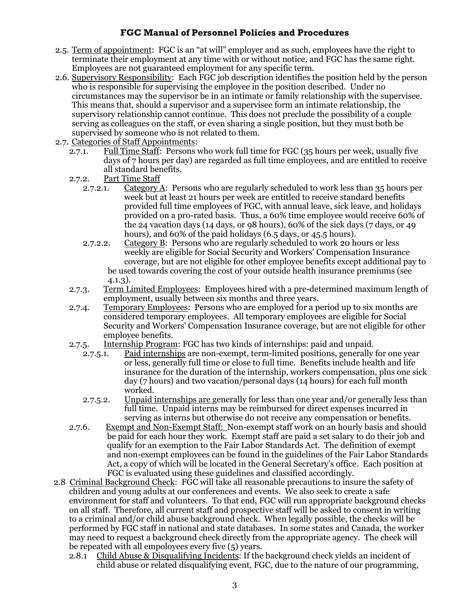- 2.5. Term of appointment: FGC is an "at will" employer and as such, employees have the right to terminate their employment at any time with or without notice, and FGC has the same right. Employees are not guaranteed employment for any specific term.
- 2.6. Supervisory Responsibility: Each FGC job description identifies the position held by the person who is responsible for supervising the employee in the position described. Under no circumstances may the supervisor be in an intimate or family relationship with the supervisee. This means that, should a supervisor and a supervisee form an intimate relationship, the supervisory relationship cannot continue. This does not preclude the possibility of a couple serving as colleagues on the staff, or even sharing a single position, but they must both be supervised by someone who is not related to them.
- 2.7. Categories of Staff Appointments:
	- 2.7.1. Full Time Staff: Persons who work full time for FGC (35 hours per week, usually five days of 7 hours per day) are regarded as full time employees, and are entitled to receive all standard benefits.
	- 2.7.2. Part Time Staff
		- 2.7.2.1. Category A: Persons who are regularly scheduled to work less than 35 hours per week but at least 21 hours per week are entitled to receive standard benefits provided full time employees of FGC, with annual leave, sick leave, and holidays provided on a pro-rated basis. Thus, a 60% time employee would receive 60% of the 24 vacation days (14 days, or 98 hours), 60% of the sick days (7 days, or 49 hours), and 60% of the paid holidays (6.5 days, or 45.5 hours).
		- 2.7.2.2. Category B: Persons who are regularly scheduled to work 20 hours or less weekly are eligible for Social Security and Workers' Compensation Insurance coverage, but are not eligible for other employee benefits except additional pay to be used towards covering the cost of your outside health insurance premiums (see 4.1.3).
	- 2.7.3. Term Limited Employees: Employees hired with a pre-determined maximum length of employment, usually between six months and three years.
	- 2.7.4. Temporary Employees: Persons who are employed for a period up to six months are considered temporary employees. All temporary employees are eligible for Social Security and Workers' Compensation Insurance coverage, but are not eligible for other employee benefits.
	- 2.7.5. Internship Program: FGC has two kinds of internships: paid and unpaid.
		- 2.7.5.1. Paid internships are non-exempt, term-limited positions, generally for one year or less, generally full time or close to full time. Benefits include health and life insurance for the duration of the internship, workers compensation, plus one sick day (7 hours) and two vacation/personal days (14 hours) for each full month worked.
		- 2.7.5.2. Unpaid internships are generally for less than one year and/or generally less than full time. Unpaid interns may be reimbursed for direct expenses incurred in serving as interns but otherwise do not receive any compensation or benefits.
	- 2.7.6. Exempt and Non-Exempt Staff: Non-exempt staff work on an hourly basis and should be paid for each hour they work. Exempt staff are paid a set salary to do their job and qualify for an exemption to the Fair Labor Standards Act. The definition of exempt and non-exempt employees can be found in the guidelines of the Fair Labor Standards Act, a copy of which will be located in the General Secretary's office. Each position at FGC is evaluated using these guidelines and classified accordingly.
- 2.8 Criminal Background Check: FGC will take all reasonable precautions to insure the safety of children and young adults at our conferences and events. We also seek to create a safe environment for staff and volunteers. To that end, FGC will run appropriate background checks on all staff. Therefore, all current staff and prospective staff will be asked to consent in writing to a criminal and/or child abuse background check. When legally possible, the checks will be performed by FGC staff in national and state databases. In some states and Canada, the worker may need to request a background check directly from the appropriate agency. The check will be repeated with all empoloyees every five (5) years.
	- 2.8.1 Child Abuse & Disqualifying Incidents: If the background check yields an incident of child abuse or related disqualifying event, FGC, due to the nature of our programming,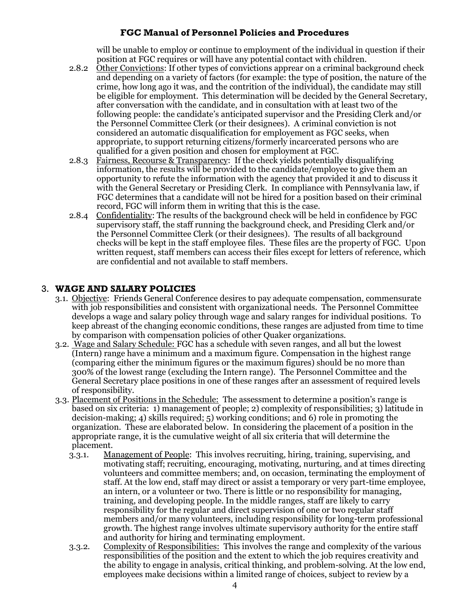will be unable to employ or continue to employment of the individual in question if their position at FGC requires or will have any potential contact with children.

- 2.8.2 Other Convictions: If other types of convictions apprear on a criminal background check and depending on a variety of factors (for example: the type of position, the nature of the crime, how long ago it was, and the contrition of the individual), the candidate may still be eligible for employment. This determination will be decided by the General Secretary, after conversation with the candidate, and in consultation with at least two of the following people: the candidate's anticipated supervisor and the Presiding Clerk and/or the Personnel Committee Clerk (or their designees). A criminal conviction is not considered an automatic disqualification for employement as FGC seeks, when appropriate, to support returning citizens/formerly incarcerated persons who are qualified for a given position and chosen for employment at FGC.
- 2.8.3 Fairness, Recourse & Transparency: If the check yields potentially disqualifying information, the results will be provided to the candidate/employee to give them an opportunity to refute the information with the agency that provided it and to discuss it with the General Secretary or Presiding Clerk. In compliance with Pennsylvania law, if FGC determines that a candidate will not be hired for a position based on their criminal record, FGC will inform them in writing that this is the case.
- 2.8.4 Confidentiality: The results of the background check will be held in confidence by FGC supervisory staff, the staff running the background check, and Presiding Clerk and/or the Personnel Committee Clerk (or their designees). The results of all background checks will be kept in the staff employee files. These files are the property of FGC. Upon written request, staff members can access their files except for letters of reference, which are confidential and not available to staff members.

## 3. **WAGE AND SALARY POLICIES**

- 3.1. Objective: Friends General Conference desires to pay adequate compensation, commensurate with job responsibilities and consistent with organizational needs. The Personnel Committee develops a wage and salary policy through wage and salary ranges for individual positions. To keep abreast of the changing economic conditions, these ranges are adjusted from time to time by comparison with compensation policies of other Quaker organizations.
- 3.2. Wage and Salary Schedule: FGC has a schedule with seven ranges, and all but the lowest (Intern) range have a minimum and a maximum figure. Compensation in the highest range (comparing either the minimum figures or the maximum figures) should be no more than 300% of the lowest range (excluding the Intern range). The Personnel Committee and the General Secretary place positions in one of these ranges after an assessment of required levels of responsibility.
- 3.3. Placement of Positions in the Schedule: The assessment to determine a position's range is based on six criteria: 1) management of people; 2) complexity of responsibilities; 3) latitude in decision-making; 4) skills required; 5) working conditions; and 6) role in promoting the organization. These are elaborated below. In considering the placement of a position in the appropriate range, it is the cumulative weight of all six criteria that will determine the placement.
	- 3.3.1. Management of People: This involves recruiting, hiring, training, supervising, and motivating staff; recruiting, encouraging, motivating, nurturing, and at times directing volunteers and committee members; and, on occasion, terminating the employment of staff. At the low end, staff may direct or assist a temporary or very part-time employee, an intern, or a volunteer or two. There is little or no responsibility for managing, training, and developing people. In the middle ranges, staff are likely to carry responsibility for the regular and direct supervision of one or two regular staff members and/or many volunteers, including responsibility for long-term professional growth. The highest range involves ultimate supervisory authority for the entire staff and authority for hiring and terminating employment.
	- 3.3.2. Complexity of Responsibilities: This involves the range and complexity of the various responsibilities of the position and the extent to which the job requires creativity and the ability to engage in analysis, critical thinking, and problem-solving. At the low end, employees make decisions within a limited range of choices, subject to review by a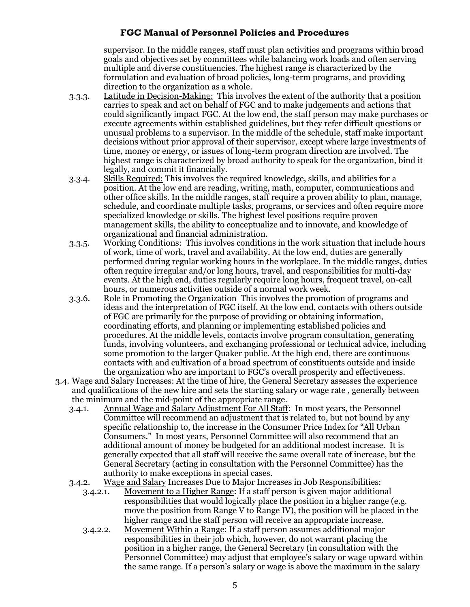supervisor. In the middle ranges, staff must plan activities and programs within broad goals and objectives set by committees while balancing work loads and often serving multiple and diverse constituencies. The highest range is characterized by the formulation and evaluation of broad policies, long-term programs, and providing direction to the organization as a whole.

- 3.3.3. Latitude in Decision-Making: This involves the extent of the authority that a position carries to speak and act on behalf of FGC and to make judgements and actions that could significantly impact FGC. At the low end, the staff person may make purchases or execute agreements within established guidelines, but they refer difficult questions or unusual problems to a supervisor. In the middle of the schedule, staff make important decisions without prior approval of their supervisor, except where large investments of time, money or energy, or issues of long-term program direction are involved. The highest range is characterized by broad authority to speak for the organization, bind it legally, and commit it financially.
- 3.3.4. Skills Required: This involves the required knowledge, skills, and abilities for a position. At the low end are reading, writing, math, computer, communications and other office skills. In the middle ranges, staff require a proven ability to plan, manage, schedule, and coordinate multiple tasks, programs, or services and often require more specialized knowledge or skills. The highest level positions require proven management skills, the ability to conceptualize and to innovate, and knowledge of organizational and financial administration.
- 3.3.5. Working Conditions: This involves conditions in the work situation that include hours of work, time of work, travel and availability. At the low end, duties are generally performed during regular working hours in the workplace. In the middle ranges, duties often require irregular and/or long hours, travel, and responsibilities for multi-day events. At the high end, duties regularly require long hours, frequent travel, on-call hours, or numerous activities outside of a normal work week.
- 3.3.6. Role in Promoting the Organization This involves the promotion of programs and ideas and the interpretation of FGC itself. At the low end, contacts with others outside of FGC are primarily for the purpose of providing or obtaining information, coordinating efforts, and planning or implementing established policies and procedures. At the middle levels, contacts involve program consultation, generating funds, involving volunteers, and exchanging professional or technical advice, including some promotion to the larger Quaker public. At the high end, there are continuous contacts with and cultivation of a broad spectrum of constituents outside and inside the organization who are important to FGC's overall prosperity and effectiveness.
- 3.4. Wage and Salary Increases: At the time of hire, the General Secretary assesses the experience and qualifications of the new hire and sets the starting salary or wage rate , generally between the minimum and the mid-point of the appropriate range.
	- 3.4.1. Annual Wage and Salary Adjustment For All Staff: In most years, the Personnel Committee will recommend an adjustment that is related to, but not bound by any specific relationship to, the increase in the Consumer Price Index for "All Urban Consumers." In most years, Personnel Committee will also recommend that an additional amount of money be budgeted for an additional modest increase. It is generally expected that all staff will receive the same overall rate of increase, but the General Secretary (acting in consultation with the Personnel Committee) has the authority to make exceptions in special cases.
	- 3.4.2. Wage and Salary Increases Due to Major Increases in Job Responsibilities:
		- 3.4.2.1. Movement to a Higher Range: If a staff person is given major additional responsibilities that would logically place the position in a higher range (e.g. move the position from Range V to Range IV), the position will be placed in the higher range and the staff person will receive an appropriate increase.
		- 3.4.2.2. Movement Within a Range: If a staff person assumes additional major responsibilities in their job which, however, do not warrant placing the position in a higher range, the General Secretary (in consultation with the Personnel Committee) may adjust that employee's salary or wage upward within the same range. If a person's salary or wage is above the maximum in the salary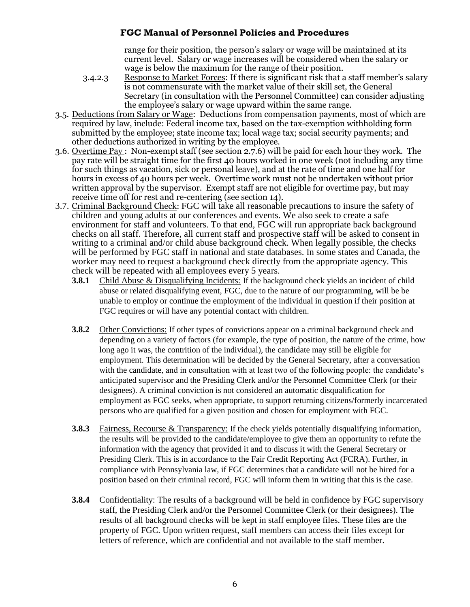range for their position, the person's salary or wage will be maintained at its current level. Salary or wage increases will be considered when the salary or wage is below the maximum for the range of their position.

- 3.4.2.3 Response to Market Forces: If there is significant risk that a staff member's salary is not commensurate with the market value of their skill set, the General Secretary (in consultation with the Personnel Committee) can consider adjusting the employee's salary or wage upward within the same range.
- 3.5. Deductions from Salary or Wage: Deductions from compensation payments, most of which are required by law, include: Federal income tax, based on the tax-exemption withholding form submitted by the employee; state income tax; local wage tax; social security payments; and other deductions authorized in writing by the employee.
- 3.6. Overtime Pay : Non-exempt staff (see section 2.7.6) will be paid for each hour they work. The pay rate will be straight time for the first 40 hours worked in one week (not including any time for such things as vacation, sick or personal leave), and at the rate of time and one half for hours in excess of 40 hours per week. Overtime work must not be undertaken without prior written approval by the supervisor. Exempt staff are not eligible for overtime pay, but may receive time off for rest and re-centering (see section 14).
- 3.7. Criminal Background Check: FGC will take all reasonable precautions to insure the safety of children and young adults at our conferences and events. We also seek to create a safe environment for staff and volunteers. To that end, FGC will run appropriate back background checks on all staff. Therefore, all current staff and prospective staff will be asked to consent in writing to a criminal and/or child abuse background check. When legally possible, the checks will be performed by FGC staff in national and state databases. In some states and Canada, the worker may need to request a background check directly from the appropriate agency. This check will be repeated with all employees every 5 years.
	- **3.8.1** Child Abuse & Disqualifying Incidents: If the background check yields an incident of child abuse or related disqualifying event, FGC, due to the nature of our programming, will be be unable to employ or continue the employment of the individual in question if their position at FGC requires or will have any potential contact with children.
	- **3.8.2** Other Convictions: If other types of convictions appear on a criminal background check and depending on a variety of factors (for example, the type of position, the nature of the crime, how long ago it was, the contrition of the individual), the candidate may still be eligible for employment. This determination will be decided by the General Secretary, after a conversation with the candidate, and in consultation with at least two of the following people: the candidate's anticipated supervisor and the Presiding Clerk and/or the Personnel Committee Clerk (or their designees). A criminal conviction is not considered an automatic disqualification for employment as FGC seeks, when appropriate, to support returning citizens/formerly incarcerated persons who are qualified for a given position and chosen for employment with FGC.
	- **3.8.3** Fairness, Recourse & Transparency: If the check yields potentially disqualifying information, the results will be provided to the candidate/employee to give them an opportunity to refute the information with the agency that provided it and to discuss it with the General Secretary or Presiding Clerk. This is in accordance to the Fair Credit Reporting Act (FCRA). Further, in compliance with Pennsylvania law, if FGC determines that a candidate will not be hired for a position based on their criminal record, FGC will inform them in writing that this is the case.
	- **3.8.4** Confidentiality: The results of a background will be held in confidence by FGC supervisory staff, the Presiding Clerk and/or the Personnel Committee Clerk (or their designees). The results of all background checks will be kept in staff employee files. These files are the property of FGC. Upon written request, staff members can access their files except for letters of reference, which are confidential and not available to the staff member.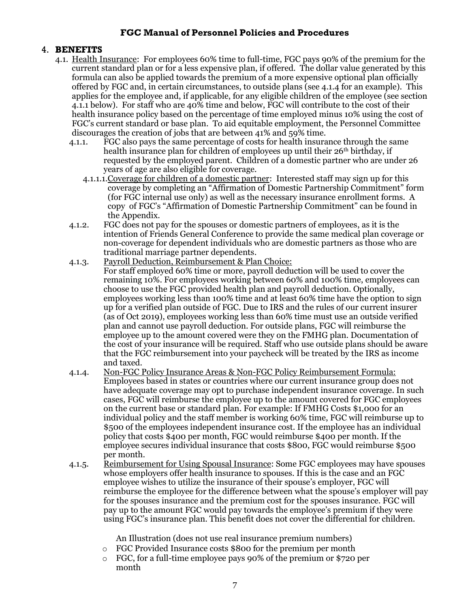#### 4. **BENEFITS**

- 4.1. Health Insurance: For employees 60% time to full-time, FGC pays 90% of the premium for the current standard plan or for a less expensive plan, if offered. The dollar value generated by this formula can also be applied towards the premium of a more expensive optional plan officially offered by FGC and, in certain circumstances, to outside plans (see 4.1.4 for an example). This applies for the employee and, if applicable, for any eligible children of the employee (see section 4.1.1 below). For staff who are 40% time and below, FGC will contribute to the cost of their health insurance policy based on the percentage of time employed minus 10% using the cost of FGC's current standard or base plan. To aid equitable employment, the Personnel Committee discourages the creation of jobs that are between 41% and 59% time.
	- 4.1.1. FGC also pays the same percentage of costs for health insurance through the same health insurance plan for children of employees up until their 26<sup>th</sup> birthday, if requested by the employed parent. Children of a domestic partner who are under 26 years of age are also eligible for coverage.
		- 4.1.1.1. Coverage for children of a domestic partner: Interested staff may sign up for this coverage by completing an "Affirmation of Domestic Partnership Commitment" form (for FGC internal use only) as well as the necessary insurance enrollment forms. A copy of FGC's "Affirmation of Domestic Partnership Commitment" can be found in the Appendix.
	- 4.1.2. FGC does not pay for the spouses or domestic partners of employees, as it is the intention of Friends General Conference to provide the same medical plan coverage or non-coverage for dependent individuals who are domestic partners as those who are traditional marriage partner dependents.
	- 4.1.3. Payroll Deduction, Reimbursement & Plan Choice: For staff employed 60% time or more, payroll deduction will be used to cover the remaining 10%. For employees working between 60% and 100% time, employees can choose to use the FGC provided health plan and payroll deduction. Optionally, employees working less than 100% time and at least 60% time have the option to sign up for a verified plan outside of FGC. Due to IRS and the rules of our current insurer (as of Oct 2019), employees working less than 60% time must use an outside verified plan and cannot use payroll deduction. For outside plans, FGC will reimburse the employee up to the amount covered were they on the FMHG plan. Documentation of the cost of your insurance will be required. Staff who use outside plans should be aware that the FGC reimbursement into your paycheck will be treated by the IRS as income and taxed.
	- 4.1.4. Non-FGC Policy Insurance Areas & Non-FGC Policy Reimbursement Formula: Employees based in states or countries where our current insurance group does not have adequate coverage may opt to purchase independent insurance coverage. In such cases, FGC will reimburse the employee up to the amount covered for FGC employees on the current base or standard plan. For example: If FMHG Costs \$1,000 for an individual policy and the staff member is working 60% time, FGC will reimburse up to \$500 of the employees independent insurance cost. If the employee has an individual policy that costs \$400 per month, FGC would reimburse \$400 per month. If the employee secures individual insurance that costs \$800, FGC would reimburse \$500 per month.
	- 4.1.5. Reimbursement for Using Spousal Insurance: Some FGC employees may have spouses whose employers offer health insurance to spouses. If this is the case and an FGC employee wishes to utilize the insurance of their spouse's employer, FGC will reimburse the employee for the difference between what the spouse's employer will pay for the spouses insurance and the premium cost for the spouses insurance. FGC will pay up to the amount FGC would pay towards the employee's premium if they were using FGC's insurance plan. This benefit does not cover the differential for children.

An Illustration (does not use real insurance premium numbers)

- o FGC Provided Insurance costs \$800 for the premium per month
- o FGC, for a full-time employee pays 90% of the premium or \$720 per month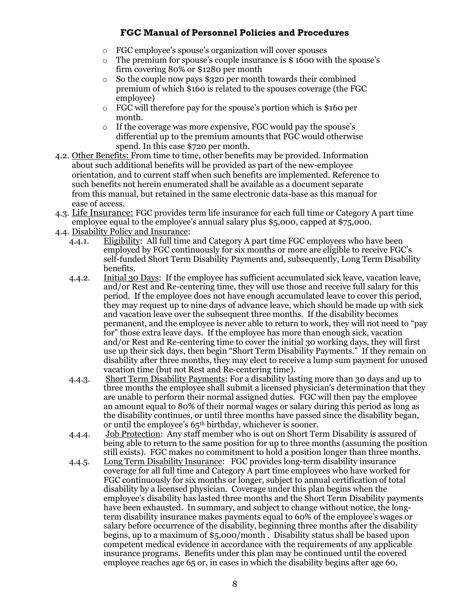- o FGC employee's spouse's organization will cover spouses
- o The premium for spouse's couple insurance is \$ 1600 with the spouse's firm covering 80% or \$1280 per month
- o So the couple now pays \$320 per month towards their combined premium of which \$160 is related to the spouses coverage (the FGC employee)
- o FGC will therefore pay for the spouse's portion which is \$160 per month.
- o If the coverage was more expensive, FGC would pay the spouse's differential up to the premium amounts that FGC would otherwise spend. In this case \$720 per month.
- 4.2. Other Benefits: From time to time, other benefits may be provided. Information about such additional benefits will be provided as part of the new-employee orientation, and to current staff when such benefits are implemented. Reference to such benefits not herein enumerated shall be available as a document separate from this manual, but retained in the same electronic data-base as this manual for ease of access.
- 4.3. Life Insurance: FGC provides term life insurance for each full time or Category A part time employee equal to the employee's annual salary plus \$5,000, capped at \$75,000.
- 4.4. Disability Policy and Insurance:
	- 4.4.1. Eligibility: All full time and Category A part time FGC employees who have been employed by FGC continuously for six months or more are eligible to receive FGC's self-funded Short Term Disability Payments and, subsequently, Long Term Disability benefits.
	- 4.4.2. Initial 30 Days: If the employee has sufficient accumulated sick leave, vacation leave, and/or Rest and Re-centering time, they will use those and receive full salary for this period. If the employee does not have enough accumulated leave to cover this period, they may request up to nine days of advance leave, which should be made up with sick and vacation leave over the subsequent three months. If the disability becomes permanent, and the employee is never able to return to work, they will not need to "pay for" those extra leave days. If the employee has more than enough sick, vacation and/or Rest and Re-centering time to cover the initial 30 working days, they will first use up their sick days, then begin "Short Term Disability Payments." If they remain on disability after three months, they may elect to receive a lump sum payment for unused vacation time (but not Rest and Re-centering time).
	- 4.4.3. Short Term Disability Payments: For a disability lasting more than 30 days and up to three months the employee shall submit a licensed physician's determination that they are unable to perform their normal assigned duties. FGC will then pay the employee an amount equal to 80% of their normal wages or salary during this period as long as the disability continues, or until three months have passed since the disability began, or until the employee's 65th birthday, whichever is sooner.
	- 4.4.4. Job Protection: Any staff member who is out on Short Term Disability is assured of being able to return to the same position for up to three months (assuming the position still exists). FGC makes no commitment to hold a position longer than three months.
	- 4.4.5. Long Term Disability Insurance: FGC provides long-term disability insurance coverage for all full time and Category A part time employees who have worked for FGC continuously for six months or longer, subject to annual certification of total disability by a licensed physician. Coverage under this plan begins when the employee's disability has lasted three months and the Short Term Disability payments have been exhausted. In summary, and subject to change without notice, the longterm disability insurance makes payments equal to 60% of the employee's wages or salary before occurrence of the disability, beginning three months after the disability begins, up to a maximum of \$5,000/month . Disability status shall be based upon competent medical evidence in accordance with the requirements of any applicable insurance programs. Benefits under this plan may be continued until the covered employee reaches age 65 or, in cases in which the disability begins after age 60,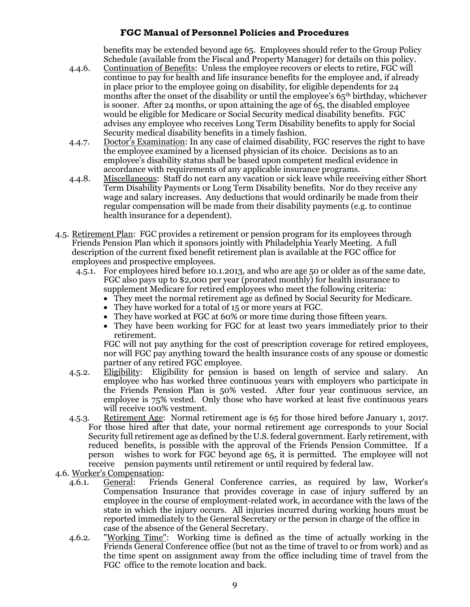benefits may be extended beyond age 65. Employees should refer to the Group Policy Schedule (available from the Fiscal and Property Manager) for details on this policy.

- 4.4.6. Continuation of Benefits: Unless the employee recovers or elects to retire, FGC will continue to pay for health and life insurance benefits for the employee and, if already in place prior to the employee going on disability, for eligible dependents for 24 months after the onset of the disability or until the employee's  $65<sup>th</sup>$  birthday, whichever is sooner. After 24 months, or upon attaining the age of 65, the disabled employee would be eligible for Medicare or Social Security medical disability benefits. FGC advises any employee who receives Long Term Disability benefits to apply for Social Security medical disability benefits in a timely fashion.
- 4.4.7. Doctor's Examination: In any case of claimed disability, FGC reserves the right to have the employee examined by a licensed physician of its choice. Decisions as to an employee's disability status shall be based upon competent medical evidence in accordance with requirements of any applicable insurance programs.
- 4.4.8. Miscellaneous: Staff do not earn any vacation or sick leave while receiving either Short Term Disability Payments or Long Term Disability benefits. Nor do they receive any wage and salary increases. Any deductions that would ordinarily be made from their regular compensation will be made from their disability payments (e.g. to continue health insurance for a dependent).
- 4.5. Retirement Plan: FGC provides a retirement or pension program for its employees through Friends Pension Plan which it sponsors jointly with Philadelphia Yearly Meeting. A full description of the current fixed benefit retirement plan is available at the FGC office for employees and prospective employees.
	- 4.5.1. For employees hired before 10.1.2013, and who are age 50 or older as of the same date, FGC also pays up to \$2,000 per year (prorated monthly) for health insurance to supplement Medicare for retired employees who meet the following criteria:
		- They meet the normal retirement age as defined by Social Security for Medicare.
		- They have worked for a total of 15 or more years at FGC.
		- They have worked at FGC at 60% or more time during those fifteen years.
		- They have been working for FGC for at least two years immediately prior to their retirement.

FGC will not pay anything for the cost of prescription coverage for retired employees, nor will FGC pay anything toward the health insurance costs of any spouse or domestic partner of any retired FGC employee.

- 4.5.2. Eligibility: Eligibility for pension is based on length of service and salary. An employee who has worked three continuous years with employers who participate in the Friends Pension Plan is 50% vested. After four year continuous service, an employee is 75% vested. Only those who have worked at least five continuous years will receive 100% vestment.
- 4.5.3. Retirement Age: Normal retirement age is 65 for those hired before January 1, 2017. For those hired after that date, your normal retirement age corresponds to your Social Security full retirement age as defined by the U.S. federal government. Early retirement, with reduced benefits, is possible with the approval of the Friends Pension Committee. If a person wishes to work for FGC beyond age 65, it is permitted. The employee will not receive pension payments until retirement or until required by federal law.
- 4.6. Worker's Compensation:
	- 4.6.1. General: Friends General Conference carries, as required by law, Worker's Compensation Insurance that provides coverage in case of injury suffered by an employee in the course of employment-related work, in accordance with the laws of the state in which the injury occurs. All injuries incurred during working hours must be reported immediately to the General Secretary or the person in charge of the office in case of the absence of the General Secretary.
	- 4.6.2. "Working Time": Working time is defined as the time of actually working in the Friends General Conference office (but not as the time of travel to or from work) and as the time spent on assignment away from the office including time of travel from the FGC office to the remote location and back.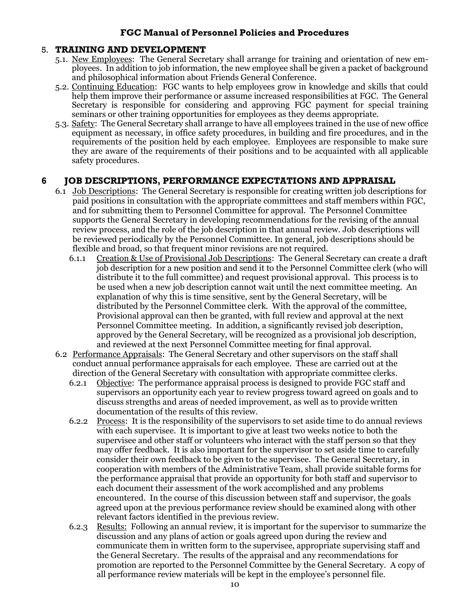#### 5. **TRAINING AND DEVELOPMENT**

- 5.1. New Employees: The General Secretary shall arrange for training and orientation of new employees. In addition to job information, the new employee shall be given a packet of background and philosophical information about Friends General Conference.
- 5.2. Continuing Education: FGC wants to help employees grow in knowledge and skills that could help them improve their performance or assume increased responsibilities at FGC. The General Secretary is responsible for considering and approving FGC payment for special training seminars or other training opportunities for employees as they deems appropriate.
- 5.3. Safety: The General Secretary shall arrange to have all employees trained in the use of new office equipment as necessary, in office safety procedures, in building and fire procedures, and in the requirements of the position held by each employee. Employees are responsible to make sure they are aware of the requirements of their positions and to be acquainted with all applicable safety procedures.

#### **6 JOB DESCRIPTIONS, PERFORMANCE EXPECTATIONS AND APPRAISAL**

- 6.1 Job Descriptions: The General Secretary is responsible for creating written job descriptions for paid positions in consultation with the appropriate committees and staff members within FGC, and for submitting them to Personnel Committee for approval. The Personnel Committee supports the General Secretary in developing recommendations for the revising of the annual review process, and the role of the job description in that annual review. Job descriptions will be reviewed periodically by the Personnel Committee. In general, job descriptions should be flexible and broad, so that frequent minor revisions are not required.
	- 6.1.1 Creation & Use of Provisional Job Descriptions: The General Secretary can create a draft job description for a new position and send it to the Personnel Committee clerk (who will distribute it to the full committee) and request provisional approval. This process is to be used when a new job description cannot wait until the next committee meeting. An explanation of why this is time sensitive, sent by the General Secretary, will be distributed by the Personnel Committee clerk. With the approval of the committee, Provisional approval can then be granted, with full review and approval at the next Personnel Committee meeting. In addition, a significantly revised job description, approved by the General Secretary, will be recognized as a provisional job description, and reviewed at the next Personnel Committee meeting for final approval.
- 6.2 Performance Appraisals: The General Secretary and other supervisors on the staff shall conduct annual performance appraisals for each employee. These are carried out at the direction of the General Secretary with consultation with appropriate committee clerks.
	- 6.2.1 Objective: The performance appraisal process is designed to provide FGC staff and supervisors an opportunity each year to review progress toward agreed on goals and to discuss strengths and areas of needed improvement, as well as to provide written documentation of the results of this review.
	- 6.2.2 Process: It is the responsibility of the supervisors to set aside time to do annual reviews with each supervisee. It is important to give at least two weeks notice to both the supervisee and other staff or volunteers who interact with the staff person so that they may offer feedback. It is also important for the supervisor to set aside time to carefully consider their own feedback to be given to the supervisee. The General Secretary, in cooperation with members of the Administrative Team, shall provide suitable forms for the performance appraisal that provide an opportunity for both staff and supervisor to each document their assessment of the work accomplished and any problems encountered. In the course of this discussion between staff and supervisor, the goals agreed upon at the previous performance review should be examined along with other relevant factors identified in the previous review.
	- 6.2.3 Results: Following an annual review, it is important for the supervisor to summarize the discussion and any plans of action or goals agreed upon during the review and communicate them in written form to the supervisee, appropriate supervising staff and the General Secretary. The results of the appraisal and any recommendations for promotion are reported to the Personnel Committee by the General Secretary. A copy of all performance review materials will be kept in the employee's personnel file.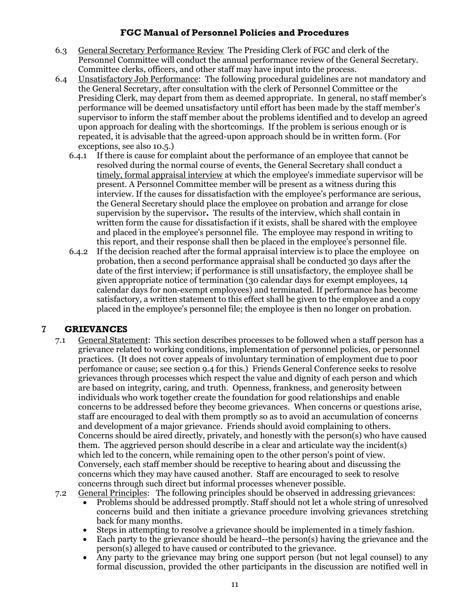- 6.3 General Secretary Performance Review The Presiding Clerk of FGC and clerk of the Personnel Committee will conduct the annual performance review of the General Secretary. Committee clerks, officers, and other staff may have input into the process.
- 6.4 Unsatisfactory Job Performance: The following procedural guidelines are not mandatory and the General Secretary, after consultation with the clerk of Personnel Committee or the Presiding Clerk, may depart from them as deemed appropriate. In general, no staff member's performance will be deemed unsatisfactory until effort has been made by the staff member's supervisor to inform the staff member about the problems identified and to develop an agreed upon approach for dealing with the shortcomings. If the problem is serious enough or is repeated, it is advisable that the agreed-upon approach should be in written form. (For exceptions, see also 10.5.)
	- 6.4.1 If there is cause for complaint about the performance of an employee that cannot be resolved during the normal course of events, the General Secretary shall conduct a timely, formal appraisal interview at which the employee's immediate supervisor will be present. A Personnel Committee member will be present as a witness during this interview. If the causes for dissatisfaction with the employee's performance are serious, the General Secretary should place the employee on probation and arrange for close supervision by the supervisor**.**The results of the interview, which shall contain in written form the cause for dissatisfaction if it exists, shall be shared with the employee and placed in the employee's personnel file. The employee may respond in writing to this report, and their response shall then be placed in the employee's personnel file.
	- 6.4.2 If the decision reached after the formal appraisal interview is to place the employee on probation, then a second performance appraisal shall be conducted 30 days after the date of the first interview; if performance is still unsatisfactory, the employee shall be given appropriate notice of termination (30 calendar days for exempt employees, 14 calendar days for non-exempt employees) and terminated. If performance has become satisfactory, a written statement to this effect shall be given to the employee and a copy placed in the employee's personnel file; the employee is then no longer on probation.

#### 7 **GRIEVANCES**

- 7.1 General Statement: This section describes processes to be followed when a staff person has a grievance related to working conditions, implementation of personnel policies, or personnel practices. (It does not cover appeals of involuntary termination of employment due to poor perfomance or cause; see section 9.4 for this.) Friends General Conference seeks to resolve grievances through processes which respect the value and dignity of each person and which are based on integrity, caring, and truth. Openness, frankness, and generosity between individuals who work together create the foundation for good relationships and enable concerns to be addressed before they become grievances. When concerns or questions arise, staff are encouraged to deal with them promptly so as to avoid an accumulation of concerns and development of a major grievance. Friends should avoid complaining to others. Concerns should be aired directly, privately, and honestly with the person(s) who have caused them. The aggrieved person should describe in a clear and articulate way the incident(s) which led to the concern, while remaining open to the other person's point of view. Conversely, each staff member should be receptive to hearing about and discussing the concerns which they may have caused another. Staff are encouraged to seek to resolve concerns through such direct but informal processes whenever possible.
- 7.2 General Principles: The following principles should be observed in addressing grievances:
	- Problems should be addressed promptly. Staff should not let a whole string of unresolved concerns build and then initiate a grievance procedure involving grievances stretching back for many months.
	- Steps in attempting to resolve a grievance should be implemented in a timely fashion.
	- Each party to the grievance should be heard--the person(s) having the grievance and the person(s) alleged to have caused or contributed to the grievance.
	- Any party to the grievance may bring one support person (but not legal counsel) to any formal discussion, provided the other participants in the discussion are notified well in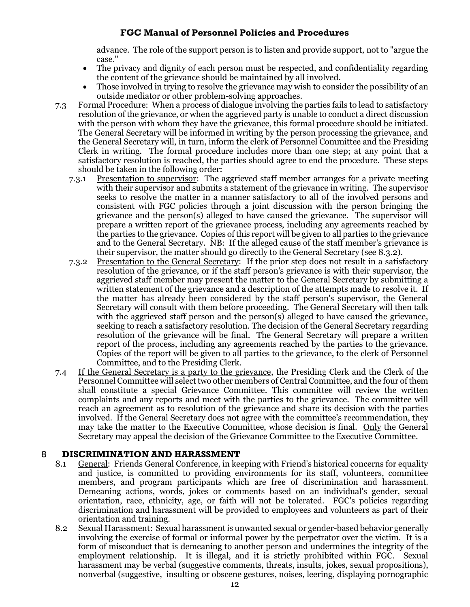advance. The role of the support person is to listen and provide support, not to "argue the case."

- The privacy and dignity of each person must be respected, and confidentiality regarding the content of the grievance should be maintained by all involved.
- Those involved in trying to resolve the grievance may wish to consider the possibility of an outside mediator or other problem-solving approaches.
- 7.3 Formal Procedure: When a process of dialogue involving the parties fails to lead to satisfactory resolution of the grievance, or when the aggrieved party is unable to conduct a direct discussion with the person with whom they have the grievance, this formal procedure should be initiated. The General Secretary will be informed in writing by the person processing the grievance, and the General Secretary will, in turn, inform the clerk of Personnel Committee and the Presiding Clerk in writing. The formal procedure includes more than one step; at any point that a satisfactory resolution is reached, the parties should agree to end the procedure. These steps should be taken in the following order:
	- 7.3.1 Presentation to supervisor: The aggrieved staff member arranges for a private meeting with their supervisor and submits a statement of the grievance in writing. The supervisor seeks to resolve the matter in a manner satisfactory to all of the involved persons and consistent with FGC policies through a joint discussion with the person bringing the grievance and the person(s) alleged to have caused the grievance. The supervisor will prepare a written report of the grievance process, including any agreements reached by the parties to the grievance. Copies of this report will be given to all parties to the grievance and to the General Secretary. NB: If the alleged cause of the staff member's grievance is their supervisor, the matter should go directly to the General Secretary (see 8.3.2).
	- 7.3.2 Presentation to the General Secretary: If the prior step does not result in a satisfactory resolution of the grievance, or if the staff person's grievance is with their supervisor, the aggrieved staff member may present the matter to the General Secretary by submitting a written statement of the grievance and a description of the attempts made to resolve it. If the matter has already been considered by the staff person's supervisor, the General Secretary will consult with them before proceeding. The General Secretary will then talk with the aggrieved staff person and the person(s) alleged to have caused the grievance, seeking to reach a satisfactory resolution. The decision of the General Secretary regarding resolution of the grievance will be final. The General Secretary will prepare a written report of the process, including any agreements reached by the parties to the grievance. Copies of the report will be given to all parties to the grievance, to the clerk of Personnel Committee, and to the Presiding Clerk.
- 7.4 If the General Secretary is a party to the grievance, the Presiding Clerk and the Clerk of the Personnel Committee will select two other members of Central Committee, and the four of them shall constitute a special Grievance Committee. This committee will review the written complaints and any reports and meet with the parties to the grievance. The committee will reach an agreement as to resolution of the grievance and share its decision with the parties involved. If the General Secretary does not agree with the committee's recommendation, they may take the matter to the Executive Committee, whose decision is final. Only the General Secretary may appeal the decision of the Grievance Committee to the Executive Committee.

#### 8 **DISCRIMINATION AND HARASSMENT**

- 8.1 General: Friends General Conference, in keeping with Friend's historical concerns for equality and justice, is committed to providing environments for its staff, volunteers, committee members, and program participants which are free of discrimination and harassment. Demeaning actions, words, jokes or comments based on an individual's gender, sexual orientation, race, ethnicity, age, or faith will not be tolerated. FGC's policies regarding discrimination and harassment will be provided to employees and volunteers as part of their orientation and training.
- 8.2 Sexual Harassment: Sexual harassment is unwanted sexual or gender-based behavior generally involving the exercise of formal or informal power by the perpetrator over the victim. It is a form of misconduct that is demeaning to another person and undermines the integrity of the employment relationship. It is illegal, and it is strictly prohibited within FGC. Sexual harassment may be verbal (suggestive comments, threats, insults, jokes, sexual propositions), nonverbal (suggestive, insulting or obscene gestures, noises, leering, displaying pornographic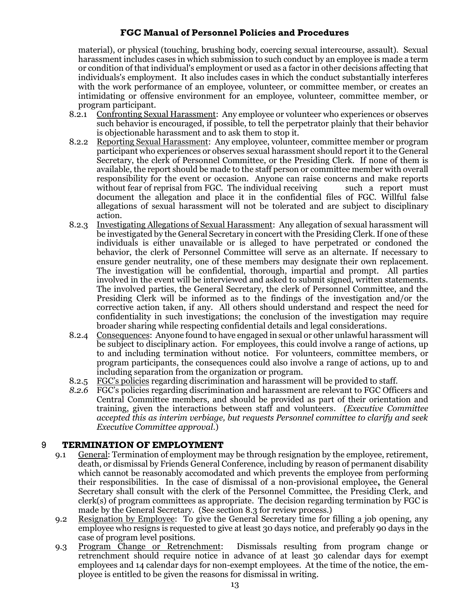material), or physical (touching, brushing body, coercing sexual intercourse, assault). Sexual harassment includes cases in which submission to such conduct by an employee is made a term or condition of that individual's employment or used as a factor in other decisions affecting that individuals's employment. It also includes cases in which the conduct substantially interferes with the work performance of an employee, volunteer, or committee member, or creates an intimidating or offensive environment for an employee, volunteer, committee member, or program participant.

- 8.2.1 Confronting Sexual Harassment: Any employee or volunteer who experiences or observes such behavior is encouraged, if possible, to tell the perpetrator plainly that their behavior is objectionable harassment and to ask them to stop it.
- 8.2.2 Reporting Sexual Harassment: Any employee, volunteer, committee member or program participant who experiences or observes sexual harassment should report it to the General Secretary, the clerk of Personnel Committee, or the Presiding Clerk. If none of them is available, the report should be made to the staff person or committee member with overall responsibility for the event or occasion. Anyone can raise concerns and make reports without fear of reprisal from FGC. The individual receiving such a report must document the allegation and place it in the confidential files of FGC. Willful false allegations of sexual harassment will not be tolerated and are subject to disciplinary action.
- 8.2.3 Investigating Allegations of Sexual Harassment: Any allegation of sexual harassment will be investigated by the General Secretary in concert with the Presiding Clerk. If one of these individuals is either unavailable or is alleged to have perpetrated or condoned the behavior, the clerk of Personnel Committee will serve as an alternate. If necessary to ensure gender neutrality, one of these members may designate their own replacement. The investigation will be confidential, thorough, impartial and prompt. All parties involved in the event will be interviewed and asked to submit signed, written statements. The involved parties, the General Secretary, the clerk of Personnel Committee, and the Presiding Clerk will be informed as to the findings of the investigation and/or the corrective action taken, if any. All others should understand and respect the need for confidentiality in such investigations; the conclusion of the investigation may require broader sharing while respecting confidential details and legal considerations.
- 8.2.4 Consequences: Anyone found to have engaged in sexual or other unlawful harassment will be subject to disciplinary action. For employees, this could involve a range of actions, up to and including termination without notice. For volunteers, committee members, or program participants, the consequences could also involve a range of actions, up to and including separation from the organization or program.
- 8.2.5 FGC's policies regarding discrimination and harassment will be provided to staff.
- *8.2.6* FGC's policies regarding discrimination and harassment are relevant to FGC Officers and Central Committee members, and should be provided as part of their orientation and training, given the interactions between staff and volunteers. *(Executive Committee accepted this as interim verbiage, but requests Personnel committee to clarify and seek Executive Committee approval.*)

#### 9 **TERMINATION OF EMPLOYMENT**

- 9.1 General: Termination of employment may be through resignation by the employee, retirement, death, or dismissal by Friends General Conference, including by reason of permanent disability which cannot be reasonably accomodated and which prevents the employee from performing their responsibilities. In the case of dismissal of a non-provisional employee**,** the General Secretary shall consult with the clerk of the Personnel Committee, the Presiding Clerk, and clerk(s) of program committees as appropriate. The decision regarding termination by FGC is made by the General Secretary. (See section 8.3 for review process.)
- 9.2 Resignation by Employee: To give the General Secretary time for filling a job opening, any employee who resigns is requested to give at least 30 days notice, and preferably 90 days in the case of program level positions.
- 9.3 Program Change or Retrenchment: Dismissals resulting from program change or retrenchment should require notice in advance of at least 30 calendar days for exempt employees and 14 calendar days for non-exempt employees. At the time of the notice, the employee is entitled to be given the reasons for dismissal in writing.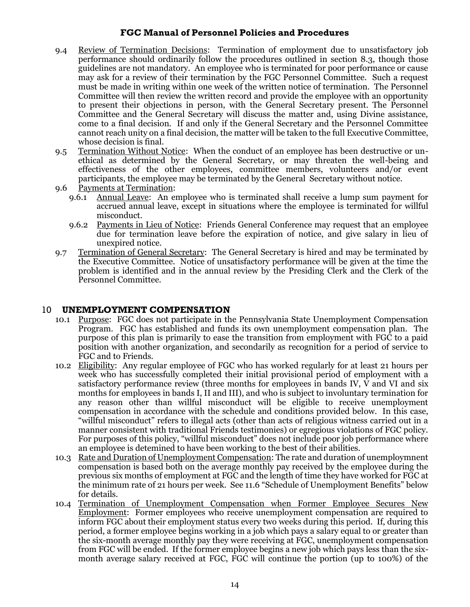- 9.4 Review of Termination Decisions: Termination of employment due to unsatisfactory job performance should ordinarily follow the procedures outlined in section 8.3, though those guidelines are not mandatory. An employee who is terminated for poor performance or cause may ask for a review of their termination by the FGC Personnel Committee. Such a request must be made in writing within one week of the written notice of termination. The Personnel Committee will then review the written record and provide the employee with an opportunity to present their objections in person, with the General Secretary present. The Personnel Committee and the General Secretary will discuss the matter and, using Divine assistance, come to a final decision. If and only if the General Secretary and the Personnel Committee cannot reach unity on a final decision, the matter will be taken to the full Executive Committee, whose decision is final.
- 9.5 Termination Without Notice: When the conduct of an employee has been destructive or unethical as determined by the General Secretary, or may threaten the well-being and effectiveness of the other employees, committee members, volunteers and/or event participants, the employee may be terminated by the General Secretary without notice.
- 9.6 Payments at Termination:
	- 9.6.1 Annual Leave: An employee who is terminated shall receive a lump sum payment for accrued annual leave, except in situations where the employee is terminated for willful misconduct.
	- 9.6.2 Payments in Lieu of Notice: Friends General Conference may request that an employee due for termination leave before the expiration of notice, and give salary in lieu of unexpired notice.
- 9.7 Termination of General Secretary: The General Secretary is hired and may be terminated by the Executive Committee. Notice of unsatisfactory performance will be given at the time the problem is identified and in the annual review by the Presiding Clerk and the Clerk of the Personnel Committee.

#### 10 **UNEMPLOYMENT COMPENSATION**

- 10.1 Purpose: FGC does not participate in the Pennsylvania State Unemployment Compensation Program. FGC has established and funds its own unemployment compensation plan. The purpose of this plan is primarily to ease the transition from employment with FGC to a paid position with another organization, and secondarily as recognition for a period of service to FGC and to Friends.
- 10.2 Eligibility: Any regular employee of FGC who has worked regularly for at least 21 hours per week who has successfully completed their initial provisional period of employment with a satisfactory performance review (three months for employees in bands IV, V and VI and six months for employees in bands I, II and III), and who is subject to involuntary termination for any reason other than willful misconduct will be eligible to receive unemployment compensation in accordance with the schedule and conditions provided below. In this case, "willful misconduct" refers to illegal acts (other than acts of religious witness carried out in a manner consistent with traditional Friends testimonies) or egregious violations of FGC policy. For purposes of this policy, "willful misconduct" does not include poor job performance where an employee is detemined to have been working to the best of their abilities.
- 10.3 Rate and Duration of Unemployment Compensation: The rate and duration of unemploymnent compensation is based both on the average monthly pay received by the employee during the previous six months of employment at FGC and the length of time they have worked for FGC at the minimum rate of 21 hours per week. See 11.6 "Schedule of Unemployment Benefits" below for details.
- 10.4 Termination of Unemployment Compensation when Former Employee Secures New Employment: Former employees who receive unemployment compensation are required to inform FGC about their employment status every two weeks during this period. If, during this period, a former employee begins working in a job which pays a salary equal to or greater than the six-month average monthly pay they were receiving at FGC, unemployment compensation from FGC will be ended. If the former employee begins a new job which pays less than the sixmonth average salary received at FGC, FGC will continue the portion (up to 100%) of the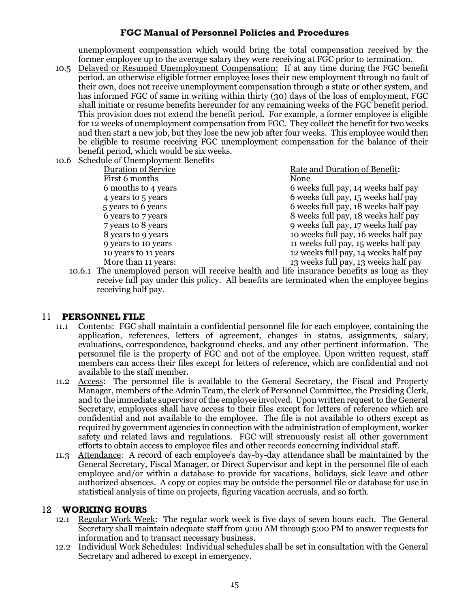unemployment compensation which would bring the total compensation received by the former employee up to the average salary they were receiving at FGC prior to termination.

- 10.5 Delayed or Resumed Unemployment Compensation: If at any time during the FGC benefit period, an otherwise eligible former employee loses their new employment through no fault of their own, does not receive unemployment compensation through a state or other system, and has informed FGC of same in writing within thirty (30) days of the loss of employment, FGC shall initiate or resume benefits hereunder for any remaining weeks of the FGC benefit period. This provision does not extend the benefit period. For example, a former employee is eligible for 12 weeks of unemployment compensation from FGC. They collect the benefit for two weeks and then start a new job, but they lose the new job after four weeks. This employee would then be eligible to resume receiving FGC unemployment compensation for the balance of their benefit period, which would be six weeks.
- 10.6 Schedule of Unemployment Benefits

First 6 months None

Duration of Service Rate and Duration of Benefit: 6 months to 4 years 6 weeks full pay, 14 weeks half pay 4 years to 5 years 6 weeks full pay, 15 weeks half pay

5 years to 6 years 6 weeks full pay, 18 weeks half pay 6 years to 7 years 8 weeks full pay, 18 weeks half pay 7 years to 8 years 9 weeks full pay, 17 weeks half pay 8 years to 9 years 10 weeks full pay, 16 weeks half pay 9 years to 10 years 11 weeks full pay, 15 weeks half pay 10 years to 11 years 12 weeks full pay, 14 weeks half pay More than 11 years: 13 weeks full pay, 13 weeks half pay

10.6.1 The unemployed person will receive health and life insurance benefits as long as they receive full pay under this policy. All benefits are terminated when the employee begins receiving half pay.

#### 11 **PERSONNEL FILE**

- 11.1 Contents: FGC shall maintain a confidential personnel file for each employee, containing the application, references, letters of agreement, changes in status, assignments, salary, evaluations, correspondence, background checks, and any other pertinent information. The personnel file is the property of FGC and not of the employee. Upon written request, staff members can access their files except for letters of reference, which are confidential and not available to the staff member.
- 11.2 Access: The personnel file is available to the General Secretary, the Fiscal and Property Manager, members of the Admin Team, the clerk of Personnel Committee, the Presiding Clerk, and to the immediate supervisor of the employee involved. Upon written request to the General Secretary, employees shall have access to their files except for letters of reference which are confidential and not available to the employee. The file is not available to others except as required by government agencies in connection with the administration of employment, worker safety and related laws and regulations. FGC will strenuously resist all other government efforts to obtain access to employee files and other records concerning individual staff.
- 11.3 Attendance: A record of each employee's day-by-day attendance shall be maintained by the General Secretary, Fiscal Manager, or Direct Supervisor and kept in the personnel file of each employee and/or within a database to provide for vacations, holidays, sick leave and other authorized absences. A copy or copies may be outside the personnel file or database for use in statistical analysis of time on projects, figuring vacation accruals, and so forth.

#### 12 **WORKING HOURS**

- 12.1 Regular Work Week: The regular work week is five days of seven hours each. The General Secretary shall maintain adequate staff from 9:00 AM through 5:00 PM to answer requests for information and to transact necessary business.
- 12.2 Individual Work Schedules: Individual schedules shall be set in consultation with the General Secretary and adhered to except in emergency.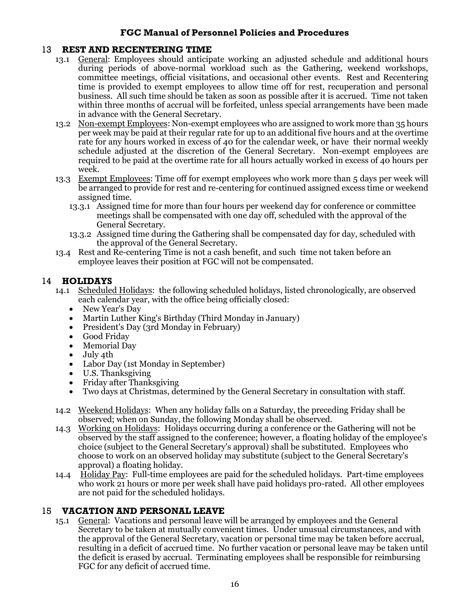#### 13 **REST AND RECENTERING TIME**

- 13.1 General: Employees should anticipate working an adjusted schedule and additional hours during periods of above-normal workload such as the Gathering, weekend workshops, committee meetings, official visitations, and occasional other events. Rest and Recentering time is provided to exempt employees to allow time off for rest, recuperation and personal business. All such time should be taken as soon as possible after it is accrued. Time not taken within three months of accrual will be forfeited, unless special arrangements have been made in advance with the General Secretary.
- 13.2 Non-exempt Employees: Non-exempt employees who are assigned to work more than 35 hours per week may be paid at their regular rate for up to an additional five hours and at the overtime rate for any hours worked in excess of 40 for the calendar week, or have their normal weekly schedule adjusted at the discretion of the General Secretary. Non-exempt employees are required to be paid at the overtime rate for all hours actually worked in excess of 40 hours per week.
- 13.3 Exempt Employees: Time off for exempt employees who work more than 5 days per week will be arranged to provide for rest and re-centering for continued assigned excess time or weekend assigned time.
	- 13.3.1 Assigned time for more than four hours per weekend day for conference or committee meetings shall be compensated with one day off, scheduled with the approval of the General Secretary.
	- 13.3.2 Assigned time during the Gathering shall be compensated day for day, scheduled with the approval of the General Secretary.
- 13.4 Rest and Re-centering Time is not a cash benefit, and such time not taken before an employee leaves their position at FGC will not be compensated.

#### 14 **HOLIDAYS**

- 14.1 Scheduled Holidays: the following scheduled holidays, listed chronologically, are observed each calendar year, with the office being officially closed:
	- New Year's Day
	- Martin Luther King's Birthday (Third Monday in January)
	- President's Day (3rd Monday in February)
	- Good Friday
	- Memorial Day
	- July 4th
	- Labor Day (1st Monday in September)
	- U.S. Thanksgiving
	- Friday after Thanksgiving
	- Two days at Christmas, determined by the General Secretary in consultation with staff.
- 14.2 Weekend Holidays: When any holiday falls on a Saturday, the preceding Friday shall be observed; when on Sunday, the following Monday shall be observed.
- 14.3 Working on Holidays: Holidays occurring during a conference or the Gathering will not be observed by the staff assigned to the conference; however, a floating holiday of the employee's choice (subject to the General Secretary's approval) shall be substituted. Employees who choose to work on an observed holiday may substitute (subject to the General Secretary's approval) a floating holiday.
- 14.4 Holiday Pay: Full-time employees are paid for the scheduled holidays. Part-time employees who work 21 hours or more per week shall have paid holidays pro-rated. All other employees are not paid for the scheduled holidays.

#### 15 **VACATION AND PERSONAL LEAVE**

15.1 General: Vacations and personal leave will be arranged by employees and the General Secretary to be taken at mutually convenient times. Under unusual circumstances, and with the approval of the General Secretary, vacation or personal time may be taken before accrual, resulting in a deficit of accrued time. No further vacation or personal leave may be taken until the deficit is erased by accrual. Terminating employees shall be responsible for reimbursing FGC for any deficit of accrued time.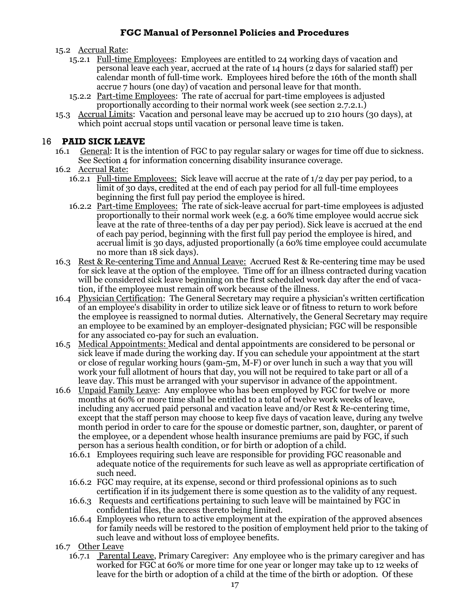- 15.2 Accrual Rate:
	- 15.2.1 Full-time Employees: Employees are entitled to 24 working days of vacation and personal leave each year, accrued at the rate of  $14$  hours ( $2$  days for salaried staff) per calendar month of full-time work. Employees hired before the 16th of the month shall accrue 7 hours (one day) of vacation and personal leave for that month.
	- 15.2.2 <u>Part-time Employees</u>: The rate of accrual for part-time employees is adjusted proportionally according to their normal work week (see section 2.7.2.1.)
- 15.3 Accrual Limits: Vacation and personal leave may be accrued up to 210 hours (30 days), at which point accrual stops until vacation or personal leave time is taken.

#### 16 **PAID SICK LEAVE**

- 16.1 General: It is the intention of FGC to pay regular salary or wages for time off due to sickness. See Section 4 for information concerning disability insurance coverage.
- 16.2 Accrual Rate:
	- 16.2.1 Full-time Employees: Sick leave will accrue at the rate of 1/2 day per pay period, to a limit of 30 days, credited at the end of each pay period for all full-time employees beginning the first full pay period the employee is hired.
	- 16.2.2 Part-time Employees: The rate of sick-leave accrual for part-time employees is adjusted proportionally to their normal work week (e.g. a 60% time employee would accrue sick leave at the rate of three-tenths of a day per pay period). Sick leave is accrued at the end of each pay period, beginning with the first full pay period the employee is hired, and accrual limit is 30 days, adjusted proportionally (a 60% time employee could accumulate no more than 18 sick days).
- 16.3 Rest & Re-centering Time and Annual Leave: Accrued Rest & Re-centering time may be used for sick leave at the option of the employee. Time off for an illness contracted during vacation will be considered sick leave beginning on the first scheduled work day after the end of vacation, if the employee must remain off work because of the illness.
- 16.4 Physician Certification: The General Secretary may require a physician's written certification of an employee's disability in order to utilize sick leave or of fitness to return to work before the employee is reassigned to normal duties. Alternatively, the General Secretary may require an employee to be examined by an employer-designated physician; FGC will be responsible for any associated co-pay for such an evaluation.
- 16.5 Medical Appointments: Medical and dental appointments are considered to be personal or sick leave if made during the working day. If you can schedule your appointment at the start or close of regular working hours (9am-5m, M-F) or over lunch in such a way that you will work your full allotment of hours that day, you will not be required to take part or all of a leave day. This must be arranged with your supervisor in advance of the appointment.
- 16.6 Unpaid Family Leave: Any employee who has been employed by FGC for twelve or more months at 60% or more time shall be entitled to a total of twelve work weeks of leave, including any accrued paid personal and vacation leave and/or Rest & Re-centering time, except that the staff person may choose to keep five days of vacation leave, during any twelve month period in order to care for the spouse or domestic partner, son, daughter, or parent of the employee, or a dependent whose health insurance premiums are paid by FGC, if such person has a serious health condition, or for birth or adoption of a child.
	- 16.6.1 Employees requiring such leave are responsible for providing FGC reasonable and adequate notice of the requirements for such leave as well as appropriate certification of such need.
	- 16.6.2 FGC may require, at its expense, second or third professional opinions as to such certification if in its judgement there is some question as to the validity of any request.
	- 16.6.3 Requests and certifications pertaining to such leave will be maintained by FGC in confidential files, the access thereto being limited.
	- 16.6.4 Employees who return to active employment at the expiration of the approved absences for family needs will be restored to the position of employment held prior to the taking of such leave and without loss of employee benefits.
- 16.7 Other Leave
	- 16.7.1 Parental Leave, Primary Caregiver: Any employee who is the primary caregiver and has worked for FGC at 60% or more time for one year or longer may take up to 12 weeks of leave for the birth or adoption of a child at the time of the birth or adoption. Of these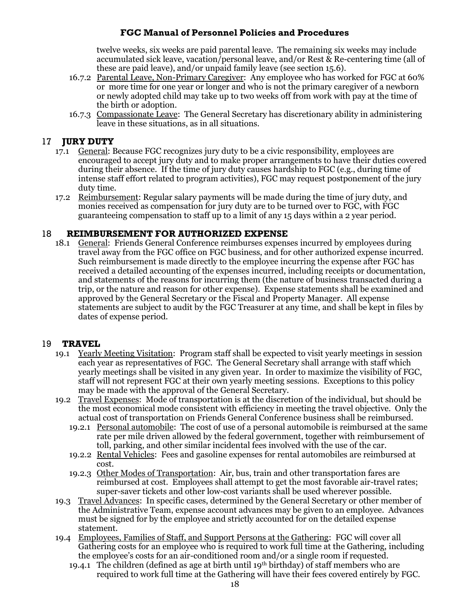twelve weeks, six weeks are paid parental leave. The remaining six weeks may include accumulated sick leave, vacation/personal leave, and/or Rest & Re-centering time (all of these are paid leave), and/or unpaid family leave (see section 15.6).

- 16.7.2 Parental Leave, Non-Primary Caregiver: Any employee who has worked for FGC at 60% or more time for one year or longer and who is not the primary caregiver of a newborn or newly adopted child may take up to two weeks off from work with pay at the time of the birth or adoption.
- 16.7.3 Compassionate Leave: The General Secretary has discretionary ability in administering leave in these situations, as in all situations.

### 17 **JURY DUTY**

- 17.1 General: Because FGC recognizes jury duty to be a civic responsibility, employees are encouraged to accept jury duty and to make proper arrangements to have their duties covered during their absence. If the time of jury duty causes hardship to FGC (e.g., during time of intense staff effort related to program activities), FGC may request postponement of the jury duty time.
- 17.2 Reimbursement: Regular salary payments will be made during the time of jury duty, and monies received as compensation for jury duty are to be turned over to FGC, with FGC guaranteeing compensation to staff up to a limit of any 15 days within a 2 year period.

#### 18 **REIMBURSEMENT FOR AUTHORIZED EXPENSE**

18.1 General: Friends General Conference reimburses expenses incurred by employees during travel away from the FGC office on FGC business, and for other authorized expense incurred. Such reimbursement is made directly to the employee incurring the expense after FGC has received a detailed accounting of the expenses incurred, including receipts or documentation, and statements of the reasons for incurring them (the nature of business transacted during a trip, or the nature and reason for other expense). Expense statements shall be examined and approved by the General Secretary or the Fiscal and Property Manager. All expense statements are subject to audit by the FGC Treasurer at any time, and shall be kept in files by dates of expense period.

#### 19 **TRAVEL**

- 19.1 Yearly Meeting Visitation: Program staff shall be expected to visit yearly meetings in session each year as representatives of FGC. The General Secretary shall arrange with staff which yearly meetings shall be visited in any given year. In order to maximize the visibility of FGC, staff will not represent FGC at their own yearly meeting sessions. Exceptions to this policy may be made with the approval of the General Secretary.
- 19.2 Travel Expenses: Mode of transportation is at the discretion of the individual, but should be the most economical mode consistent with efficiency in meeting the travel objective. Only the actual cost of transportation on Friends General Conference business shall be reimbursed.
	- 19.2.1 Personal automobile: The cost of use of a personal automobile is reimbursed at the same rate per mile driven allowed by the federal government, together with reimbursement of toll, parking, and other similar incidental fees involved with the use of the car.
	- 19.2.2 Rental Vehicles: Fees and gasoline expenses for rental automobiles are reimbursed at cost.
	- 19.2.3 Other Modes of Transportation: Air, bus, train and other transportation fares are reimbursed at cost. Employees shall attempt to get the most favorable air-travel rates; super-saver tickets and other low-cost variants shall be used wherever possible.
- 19.3 Travel Advances: In specific cases, determined by the General Secretary or other member of the Administrative Team, expense account advances may be given to an employee. Advances must be signed for by the employee and strictly accounted for on the detailed expense statement.
- 19.4 Employees, Families of Staff, and Support Persons at the Gathering: FGC will cover all Gathering costs for an employee who is required to work full time at the Gathering, including the employee's costs for an air-conditioned room and/or a single room if requested.
	- 19.4.1 The children (defined as age at birth until 19th birthday) of staff members who are required to work full time at the Gathering will have their fees covered entirely by FGC.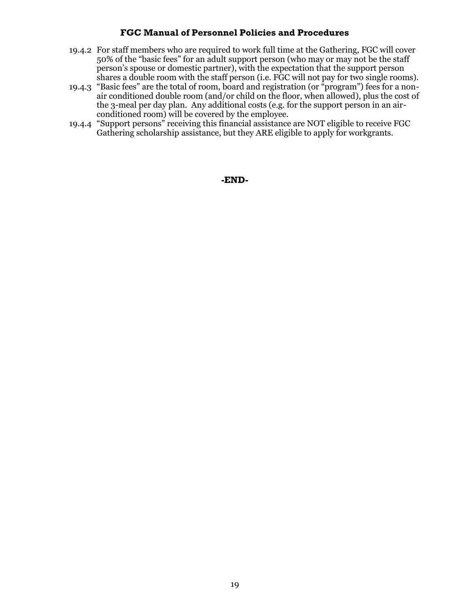- 19.4.2 For staff members who are required to work full time at the Gathering, FGC will cover 50% of the "basic fees" for an adult support person (who may or may not be the staff person's spouse or domestic partner), with the expectation that the support person shares a double room with the staff person (i.e. FGC will not pay for two single rooms).
- 19.4.3 "Basic fees" are the total of room, board and registration (or "program") fees for a nonair conditioned double room (and/or child on the floor, when allowed), plus the cost of the 3-meal per day plan. Any additional costs (e.g. for the support person in an airconditioned room) will be covered by the employee.
- 19.4.4 "Support persons" receiving this financial assistance are NOT eligible to receive FGC Gathering scholarship assistance, but they ARE eligible to apply for workgrants.

**-END-**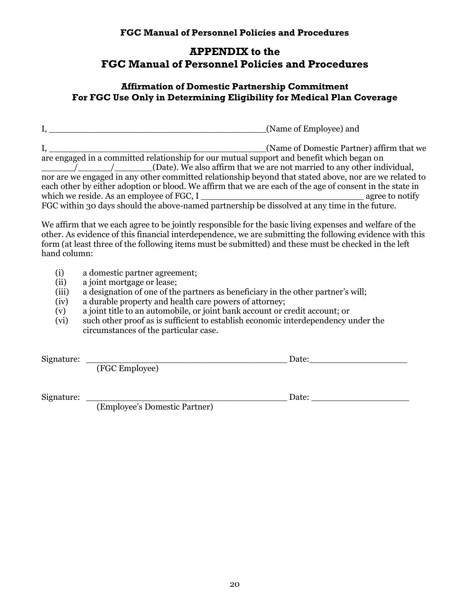# **APPENDIX to the FGC Manual of Personnel Policies and Procedures**

## **Affirmation of Domestic Partnership Commitment For FGC Use Only in Determining Eligibility for Medical Plan Coverage**

I,  $\blacksquare$ I, \_\_\_\_\_\_\_\_\_\_\_\_\_\_\_\_\_\_\_\_\_\_\_\_\_\_\_\_\_\_\_\_\_\_\_\_\_\_\_\_(Name of Domestic Partner) affirm that we are engaged in a committed relationship for our mutual support and benefit which began on \_\_\_\_\_\_/\_\_\_\_\_\_/\_\_\_\_\_\_\_(Date). We also affirm that we are not married to any other individual, nor are we engaged in any other committed relationship beyond that stated above, nor are we related to each other by either adoption or blood. We affirm that we are each of the age of consent in the state in which we reside. As an employee of FGC, I agree to notify FGC within 30 days should the above-named partnership be dissolved at any time in the future. We affirm that we each agree to be jointly responsible for the basic living expenses and welfare of the other. As evidence of this financial interdependence, we are submitting the following evidence with this form (at least three of the following items must be submitted) and these must be checked in the left hand column: (i) a domestic partner agreement; (ii) a joint mortgage or lease; (iii) a designation of one of the partners as beneficiary in the other partner's will; (iv) a durable property and health care powers of attorney; (v) a joint title to an automobile, or joint bank account or credit account; or (vi) such other proof as is sufficient to establish economic interdependency under the circumstances of the particular case. Signature: \_\_\_\_\_\_\_\_\_\_\_\_\_\_\_\_\_\_\_\_\_\_\_\_\_\_\_\_\_\_\_\_\_\_\_\_\_ Date:\_\_\_\_\_\_\_\_\_\_\_\_\_\_\_\_\_\_ (FGC Employee)

Signature: \_\_\_\_\_\_\_\_\_\_\_\_\_\_\_\_\_\_\_\_\_\_\_\_\_\_\_\_\_\_\_\_\_\_\_\_\_ Date: \_\_\_\_\_\_\_\_\_\_\_\_\_\_\_\_\_\_

(Employee's Domestic Partner)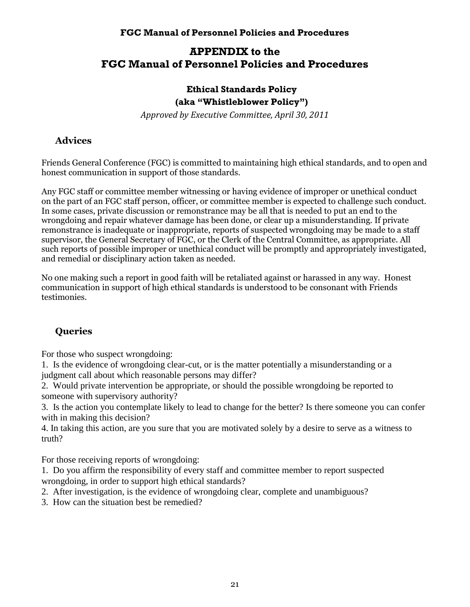# **APPENDIX to the FGC Manual of Personnel Policies and Procedures**

## **Ethical Standards Policy (aka "Whistleblower Policy")**

*Approved by Executive Committee, April 30, 2011*

# **Advices**

Friends General Conference (FGC) is committed to maintaining high ethical standards, and to open and honest communication in support of those standards.

Any FGC staff or committee member witnessing or having evidence of improper or unethical conduct on the part of an FGC staff person, officer, or committee member is expected to challenge such conduct. In some cases, private discussion or remonstrance may be all that is needed to put an end to the wrongdoing and repair whatever damage has been done, or clear up a misunderstanding. If private remonstrance is inadequate or inappropriate, reports of suspected wrongdoing may be made to a staff supervisor, the General Secretary of FGC, or the Clerk of the Central Committee, as appropriate. All such reports of possible improper or unethical conduct will be promptly and appropriately investigated, and remedial or disciplinary action taken as needed.

No one making such a report in good faith will be retaliated against or harassed in any way. Honest communication in support of high ethical standards is understood to be consonant with Friends testimonies.

# **Queries**

For those who suspect wrongdoing:

1. Is the evidence of wrongdoing clear-cut, or is the matter potentially a misunderstanding or a judgment call about which reasonable persons may differ?

2. Would private intervention be appropriate, or should the possible wrongdoing be reported to someone with supervisory authority?

3. Is the action you contemplate likely to lead to change for the better? Is there someone you can confer with in making this decision?

4. In taking this action, are you sure that you are motivated solely by a desire to serve as a witness to truth?

For those receiving reports of wrongdoing:

1. Do you affirm the responsibility of every staff and committee member to report suspected wrongdoing, in order to support high ethical standards?

2. After investigation, is the evidence of wrongdoing clear, complete and unambiguous?

3. How can the situation best be remedied?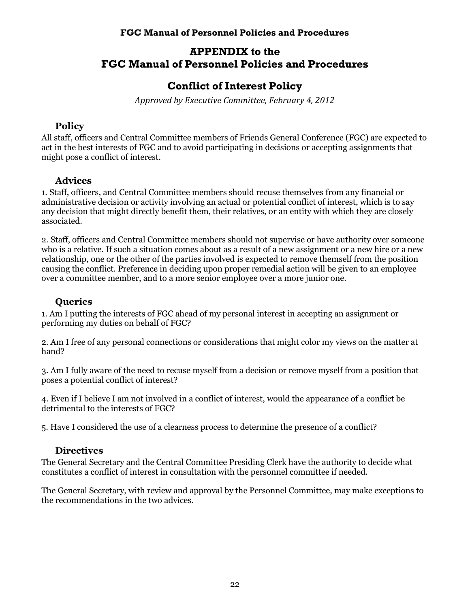# **APPENDIX to the FGC Manual of Personnel Policies and Procedures**

# **Conflict of Interest Policy**

*Approved by Executive Committee, February 4, 2012*

## **Policy**

All staff, officers and Central Committee members of Friends General Conference (FGC) are expected to act in the best interests of FGC and to avoid participating in decisions or accepting assignments that might pose a conflict of interest.

## **Advices**

1. Staff, officers, and Central Committee members should recuse themselves from any financial or administrative decision or activity involving an actual or potential conflict of interest, which is to say any decision that might directly benefit them, their relatives, or an entity with which they are closely associated.

2. Staff, officers and Central Committee members should not supervise or have authority over someone who is a relative. If such a situation comes about as a result of a new assignment or a new hire or a new relationship, one or the other of the parties involved is expected to remove themself from the position causing the conflict. Preference in deciding upon proper remedial action will be given to an employee over a committee member, and to a more senior employee over a more junior one.

## **Queries**

1. Am I putting the interests of FGC ahead of my personal interest in accepting an assignment or performing my duties on behalf of FGC?

2. Am I free of any personal connections or considerations that might color my views on the matter at hand?

3. Am I fully aware of the need to recuse myself from a decision or remove myself from a position that poses a potential conflict of interest?

4. Even if I believe I am not involved in a conflict of interest, would the appearance of a conflict be detrimental to the interests of FGC?

5. Have I considered the use of a clearness process to determine the presence of a conflict?

## **Directives**

The General Secretary and the Central Committee Presiding Clerk have the authority to decide what constitutes a conflict of interest in consultation with the personnel committee if needed.

The General Secretary, with review and approval by the Personnel Committee, may make exceptions to the recommendations in the two advices.